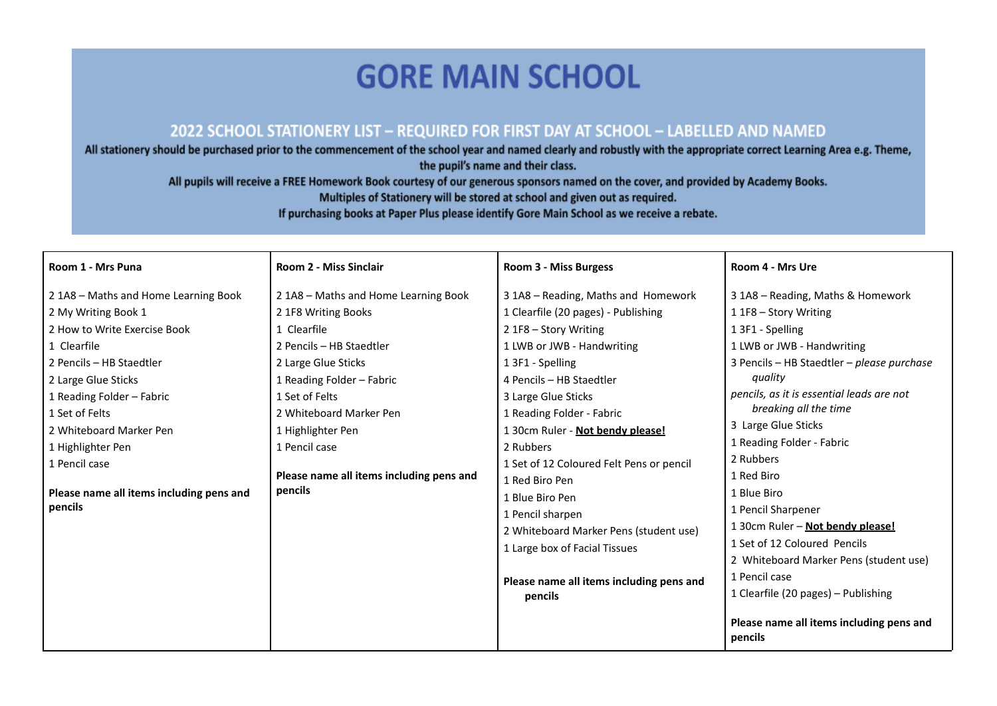## **GORE MAIN SCHOOL**

## 2022 SCHOOL STATIONERY LIST - REQUIRED FOR FIRST DAY AT SCHOOL - LABELLED AND NAMED

All stationery should be purchased prior to the commencement of the school year and named clearly and robustly with the appropriate correct Learning Area e.g. Theme, the pupil's name and their class.

All pupils will receive a FREE Homework Book courtesy of our generous sponsors named on the cover, and provided by Academy Books.

Multiples of Stationery will be stored at school and given out as required.

If purchasing books at Paper Plus please identify Gore Main School as we receive a rebate.

| Room 1 - Mrs Puna                        | <b>Room 2 - Miss Sinclair</b>            | Room 3 - Miss Burgess                    | Room 4 - Mrs Ure                                    |
|------------------------------------------|------------------------------------------|------------------------------------------|-----------------------------------------------------|
| 21A8 - Maths and Home Learning Book      | 2 1A8 - Maths and Home Learning Book     | 3 1A8 - Reading, Maths and Homework      | 3 1A8 - Reading, Maths & Homework                   |
| 2 My Writing Book 1                      | 2 1F8 Writing Books                      | 1 Clearfile (20 pages) - Publishing      | 1 1F8 – Story Writing                               |
| 2 How to Write Exercise Book             | 1 Clearfile                              | 2 1F8 - Story Writing                    | 1 3F1 - Spelling                                    |
| 1 Clearfile                              | 2 Pencils - HB Staedtler                 | 1 LWB or JWB - Handwriting               | 1 LWB or JWB - Handwriting                          |
| 2 Pencils - HB Staedtler                 | 2 Large Glue Sticks                      | 1 3F1 - Spelling                         | 3 Pencils - HB Staedtler - please purchase          |
| 2 Large Glue Sticks                      | 1 Reading Folder - Fabric                | 4 Pencils - HB Staedtler                 | quality                                             |
| 1 Reading Folder - Fabric                | 1 Set of Felts                           | 3 Large Glue Sticks                      | pencils, as it is essential leads are not           |
| 1 Set of Felts                           | 2 Whiteboard Marker Pen                  | 1 Reading Folder - Fabric                | breaking all the time                               |
| 2 Whiteboard Marker Pen                  | 1 Highlighter Pen                        | 1 30cm Ruler - Not bendy please!         | 3 Large Glue Sticks                                 |
| 1 Highlighter Pen                        | 1 Pencil case                            | 2 Rubbers                                | 1 Reading Folder - Fabric                           |
| 1 Pencil case                            |                                          | 1 Set of 12 Coloured Felt Pens or pencil | 2 Rubbers                                           |
|                                          | Please name all items including pens and | 1 Red Biro Pen                           | 1 Red Biro                                          |
| Please name all items including pens and | pencils                                  | 1 Blue Biro Pen                          | 1 Blue Biro                                         |
| pencils                                  |                                          | 1 Pencil sharpen                         | 1 Pencil Sharpener                                  |
|                                          |                                          | 2 Whiteboard Marker Pens (student use)   | 1 30cm Ruler - Not bendy please!                    |
|                                          |                                          | 1 Large box of Facial Tissues            | 1 Set of 12 Coloured Pencils                        |
|                                          |                                          |                                          | 2 Whiteboard Marker Pens (student use)              |
|                                          |                                          | Please name all items including pens and | 1 Pencil case                                       |
|                                          |                                          | pencils                                  | 1 Clearfile (20 pages) - Publishing                 |
|                                          |                                          |                                          | Please name all items including pens and<br>pencils |